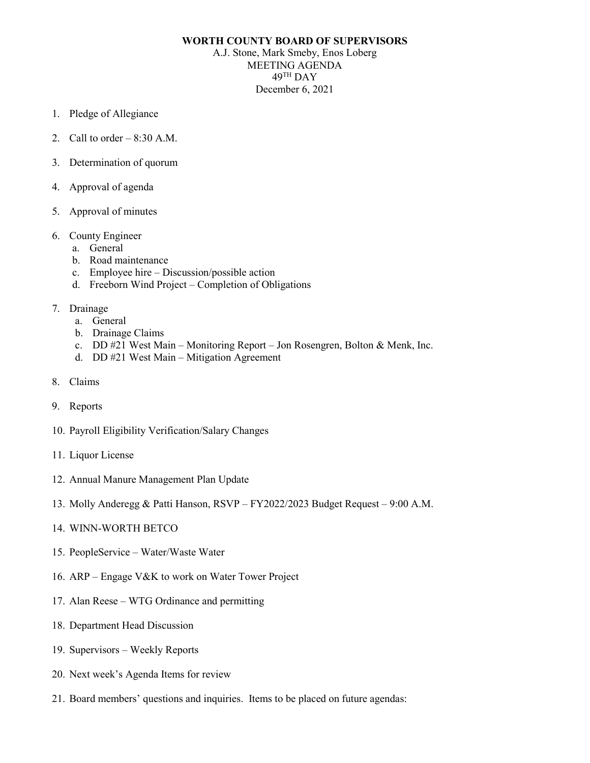## **WORTH COUNTY BOARD OF SUPERVISORS**

A.J. Stone, Mark Smeby, Enos Loberg MEETING AGENDA 49TH DAY December 6, 2021

- 1. Pledge of Allegiance
- 2. Call to order  $-8:30$  A.M.
- 3. Determination of quorum
- 4. Approval of agenda
- 5. Approval of minutes
- 6. County Engineer
	- a. General
	- b. Road maintenance
	- c. Employee hire Discussion/possible action
	- d. Freeborn Wind Project Completion of Obligations
- 7. Drainage
	- a. General
	- b. Drainage Claims
	- c. DD #21 West Main Monitoring Report Jon Rosengren, Bolton & Menk, Inc.
	- d. DD #21 West Main Mitigation Agreement
- 8. Claims
- 9. Reports
- 10. Payroll Eligibility Verification/Salary Changes
- 11. Liquor License
- 12. Annual Manure Management Plan Update
- 13. Molly Anderegg & Patti Hanson, RSVP FY2022/2023 Budget Request 9:00 A.M.
- 14. WINN-WORTH BETCO
- 15. PeopleService Water/Waste Water
- 16. ARP Engage V&K to work on Water Tower Project
- 17. Alan Reese WTG Ordinance and permitting
- 18. Department Head Discussion
- 19. Supervisors Weekly Reports
- 20. Next week's Agenda Items for review
- 21. Board members' questions and inquiries. Items to be placed on future agendas: